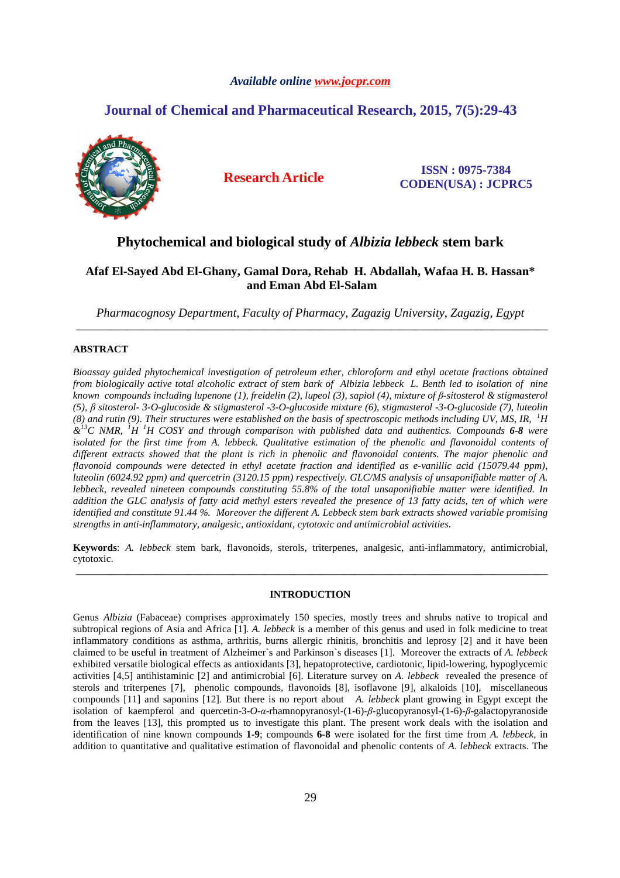## *Available online www.jocpr.com*

# **Journal of Chemical and Pharmaceutical Research, 2015, 7(5):29-43**



**Research Article ISSN : 0975-7384 CODEN(USA) : JCPRC5**

# **Phytochemical and biological study of** *Albizia lebbeck* **stem bark**

# **Afaf El-Sayed Abd El-Ghany, Gamal Dora, Rehab H. Abdallah, Wafaa H. B. Hassan\* and Eman Abd El-Salam**

*Pharmacognosy Department, Faculty of Pharmacy, Zagazig University, Zagazig, Egypt*  \_\_\_\_\_\_\_\_\_\_\_\_\_\_\_\_\_\_\_\_\_\_\_\_\_\_\_\_\_\_\_\_\_\_\_\_\_\_\_\_\_\_\_\_\_\_\_\_\_\_\_\_\_\_\_\_\_\_\_\_\_\_\_\_\_\_\_\_\_\_\_\_\_\_\_\_\_\_\_\_\_\_\_\_\_\_\_\_\_\_\_\_\_

## **ABSTRACT**

*Bioassay guided phytochemical investigation of petroleum ether, chloroform and ethyl acetate fractions obtained from biologically active total alcoholic extract of stem bark of Albizia lebbeck L. Benth led to isolation of nine known compounds including lupenone (1), freidelin (2), lupeol (3), sapiol (4), mixture of β-sitosterol & stigmasterol (5), β sitosterol- 3-O-glucoside & stigmasterol -3-O-glucoside mixture (6), stigmasterol -3-O-glucoside (7), luteolin (8) and rutin (9). Their structures were established on the basis of spectroscopic methods including UV, MS, IR, <sup>1</sup>H & <sup>13</sup>C NMR, <sup>1</sup>H <sup>1</sup>H COSY and through comparison with published data and authentics. Compounds 6-8 were*  isolated for the first time from A. lebbeck. Qualitative estimation of the phenolic and flavonoidal contents of different extracts showed that the plant is rich in phenolic and flavonoidal contents. The major phenolic and *flavonoid compounds were detected in ethyl acetate fraction and identified as e-vanillic acid (15079.44 ppm), luteolin (6024.92 ppm) and quercetrin (3120.15 ppm) respectively. GLC/MS analysis of unsaponifiable matter of A. lebbeck, revealed nineteen compounds constituting 55.8% of the total unsaponifiable matter were identified. In addition the GLC analysis of fatty acid methyl esters revealed the presence of 13 fatty acids, ten of which were identified and constitute 91.44 %. Moreover the different A. Lebbeck stem bark extracts showed variable promising strengths in anti-inflammatory, analgesic, antioxidant, cytotoxic and antimicrobial activities.* 

**Keywords**: *A. lebbeck* stem bark, flavonoids, sterols, triterpenes, analgesic, anti-inflammatory, antimicrobial, cytotoxic. \_\_\_\_\_\_\_\_\_\_\_\_\_\_\_\_\_\_\_\_\_\_\_\_\_\_\_\_\_\_\_\_\_\_\_\_\_\_\_\_\_\_\_\_\_\_\_\_\_\_\_\_\_\_\_\_\_\_\_\_\_\_\_\_\_\_\_\_\_\_\_\_\_\_\_\_\_\_\_\_\_\_\_\_\_\_\_\_\_\_\_\_\_

## **INTRODUCTION**

Genus *Albizia* (Fabaceae) comprises approximately 150 species, mostly trees and shrubs native to tropical and subtropical regions of Asia and Africa [1]. *A. lebbeck* is a member of this genus and used in folk medicine to treat inflammatory conditions as asthma, arthritis, burns allergic rhinitis, bronchitis and leprosy [2] and it have been claimed to be useful in treatment of Alzheimer`s and Parkinson`s diseases [1]. Moreover the extracts of *A. lebbeck* exhibited versatile biological effects as antioxidants [3], hepatoprotective, cardiotonic, lipid-lowering, hypoglycemic activities [4,5] antihistaminic [2] and antimicrobial [6]. Literature survey on *A. lebbeck* revealed the presence of sterols and triterpenes [7], phenolic compounds, flavonoids [8], isoflavone [9], alkaloids [10], miscellaneous compounds [11] and saponins [12]*.* But there is no report about *A. lebbeck* plant growing in Egypt except the isolation of kaempferol and quercetin-3-*O*-*α*-rhamnopyranosyl-(1-6)-*β*-glucopyranosyl-(1-6)-*β*-galactopyranoside from the leaves [13], this prompted us to investigate this plant. The present work deals with the isolation and identification of nine known compounds **1-9**; compounds **6-8** were isolated for the first time from *A. lebbeck*, in addition to quantitative and qualitative estimation of flavonoidal and phenolic contents of *A*. *lebbeck* extracts. The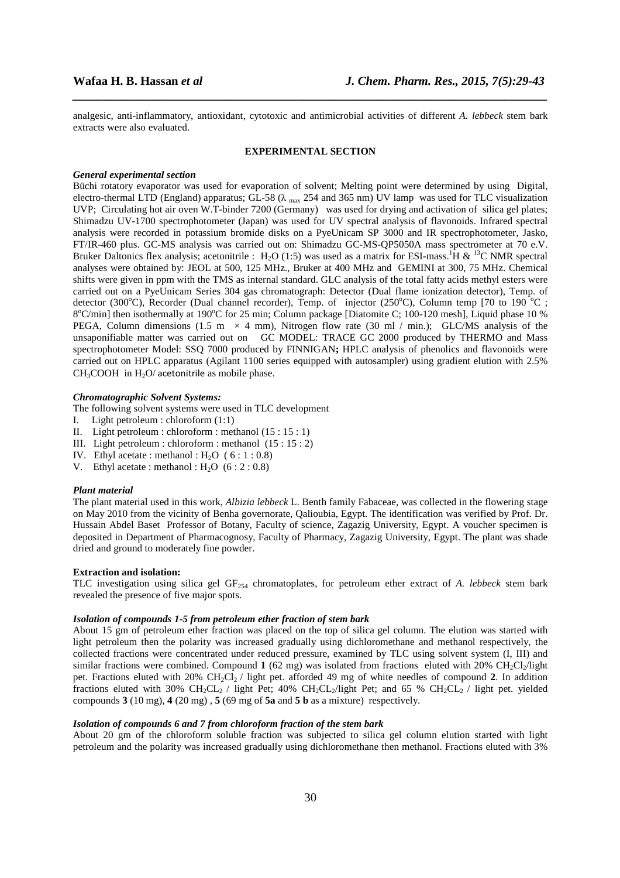analgesic, anti-inflammatory, antioxidant, cytotoxic and antimicrobial activities of different *A. lebbeck* stem bark extracts were also evaluated.

*\_\_\_\_\_\_\_\_\_\_\_\_\_\_\_\_\_\_\_\_\_\_\_\_\_\_\_\_\_\_\_\_\_\_\_\_\_\_\_\_\_\_\_\_\_\_\_\_\_\_\_\_\_\_\_\_\_\_\_\_\_\_\_\_\_\_\_\_\_\_\_\_\_\_\_\_\_\_*

#### **EXPERIMENTAL SECTION**

## *General experimental section*

Büchi rotatory evaporator was used for evaporation of solvent; Melting point were determined by using Digital, electro-thermal LTD (England) apparatus; GL-58 ( $\lambda$  max 254 and 365 nm) UV lamp was used for TLC visualization UVP; Circulating hot air oven W.T-binder 7200 (Germany) was used for drying and activation of silica gel plates; Shimadzu UV-1700 spectrophotometer (Japan) was used for UV spectral analysis of flavonoids. Infrared spectral analysis were recorded in potassium bromide disks on a PyeUnicam SP 3000 and IR spectrophotometer, Jasko, FT/IR-460 plus. GC-MS analysis was carried out on: Shimadzu GC-MS-QP5050A mass spectrometer at 70 e.V. Bruker Daltonics flex analysis; acetonitrile : H<sub>2</sub>O (1:5) was used as a matrix for ESI-mass.<sup>1</sup>H & <sup>13</sup>C NMR spectral analyses were obtained by: JEOL at 500, 125 MHz., Bruker at 400 MHz and GEMINI at 300, 75 MHz. Chemical shifts were given in ppm with the TMS as internal standard. GLC analysis of the total fatty acids methyl esters were carried out on a PyeUnicam Series 304 gas chromatograph: Detector (Dual flame ionization detector), Temp. of detector (300°C), Recorder (Dual channel recorder), Temp. of injector (250°C), Column temp [70 to 190  $^{\circ}$ C ; 8°C/min] then isothermally at 190°C for 25 min; Column package [Diatomite C; 100-120 mesh], Liquid phase 10 % PEGA, Column dimensions (1.5 m  $\times$  4 mm), Nitrogen flow rate (30 ml / min.); GLC/MS analysis of the unsaponifiable matter was carried out on GC MODEL: TRACE GC 2000 produced by THERMO and Mass spectrophotometer Model: SSQ 7000 produced by FINNIGAN**;** HPLC analysis of phenolics and flavonoids were carried out on HPLC apparatus (Agilant 1100 series equipped with autosampler) using gradient elution with 2.5%  $CH<sub>3</sub>COOH$  in  $H<sub>2</sub>O$  acetonitrile as mobile phase.

## *Chromatographic Solvent Systems:*

The following solvent systems were used in TLC development

- I. Light petroleum : chloroform (1:1)
- II. Light petroleum : chloroform : methanol (15 : 15 : 1)
- III. Light petroleum : chloroform : methanol (15 : 15 : 2)
- IV. Ethyl acetate : methanol :  $H_2O$  (  $6:1:0.8$ )
- V. Ethyl acetate : methanol :  $H_2O$  (6 : 2 : 0.8)

#### *Plant material*

The plant material used in this work, *Albizia lebbeck* L. Benth family Fabaceae, was collected in the flowering stage on May 2010 from the vicinity of Benha governorate, Qalioubia, Egypt. The identification was verified by Prof. Dr. Hussain Abdel Baset Professor of Botany, Faculty of science, Zagazig University, Egypt. A voucher specimen is deposited in Department of Pharmacognosy, Faculty of Pharmacy, Zagazig University, Egypt. The plant was shade dried and ground to moderately fine powder.

## **Extraction and isolation:**

TLC investigation using silica gel GF254 chromatoplates, for petroleum ether extract of *A. lebbeck* stem bark revealed the presence of five major spots.

## *Isolation of compounds 1-5 from petroleum ether fraction of stem bark*

About 15 gm of petroleum ether fraction was placed on the top of silica gel column. The elution was started with light petroleum then the polarity was increased gradually using dichloromethane and methanol respectively, the collected fractions were concentrated under reduced pressure, examined by TLC using solvent system (I, III) and similar fractions were combined. Compound  $1$  (62 mg) was isolated from fractions eluted with 20% CH<sub>2</sub>Cl<sub>2</sub>/light pet. Fractions eluted with 20% CH<sub>2</sub>Cl<sub>2</sub> / light pet. afforded 49 mg of white needles of compound 2. In addition fractions eluted with 30% CH<sub>2</sub>CL<sub>2</sub> / light Pet; 40% CH<sub>2</sub>CL<sub>2</sub>/light Pet; and 65 % CH<sub>2</sub>CL<sub>2</sub> / light pet. yielded compounds **3** (10 mg), **4** (20 mg) , **5** (69 mg of **5a** and **5 b** as a mixture) respectively.

## *Isolation of compounds 6 and 7 from chloroform fraction of the stem bark*

About 20 gm of the chloroform soluble fraction was subjected to silica gel column elution started with light petroleum and the polarity was increased gradually using dichloromethane then methanol. Fractions eluted with 3%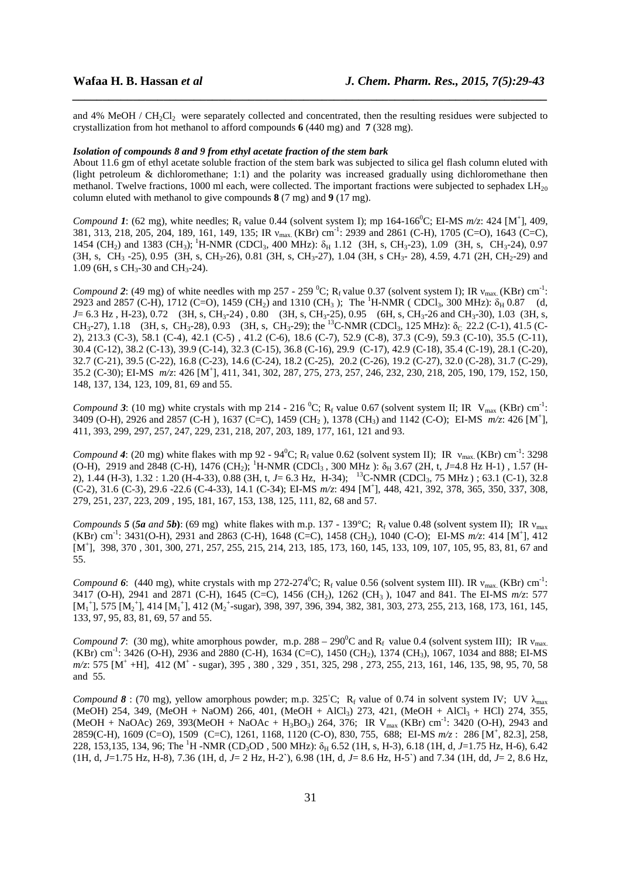and 4% MeOH /  $CH_2Cl_2$  were separately collected and concentrated, then the resulting residues were subjected to crystallization from hot methanol to afford compounds **6** (440 mg) and **7** (328 mg).

*\_\_\_\_\_\_\_\_\_\_\_\_\_\_\_\_\_\_\_\_\_\_\_\_\_\_\_\_\_\_\_\_\_\_\_\_\_\_\_\_\_\_\_\_\_\_\_\_\_\_\_\_\_\_\_\_\_\_\_\_\_\_\_\_\_\_\_\_\_\_\_\_\_\_\_\_\_\_*

## *Isolation of compounds 8 and 9 from ethyl acetate fraction of the stem bark*

About 11.6 gm of ethyl acetate soluble fraction of the stem bark was subjected to silica gel flash column eluted with (light petroleum & dichloromethane; 1:1) and the polarity was increased gradually using dichloromethane then methanol. Twelve fractions, 1000 ml each, were collected. The important fractions were subjected to sephadex  $LH_{20}$ column eluted with methanol to give compounds **8** (7 mg) and **9** (17 mg).

*Compound 1*: (62 mg), white needles;  $R_f$  value 0.44 (solvent system I); mp 164-166<sup>0</sup>C; EI-MS  $m/z$ : 424 [M<sup>+</sup>], 409, 381, 313, 218, 205, 204, 189, 161, 149, 135; IR  $v_{\text{max}}$  (KBr) cm<sup>-1</sup>: 2939 and 2861 (C-H), 1705 (C=O), 1643 (C=C), 1454 (CH<sub>2</sub>) and 1383 (CH<sub>3</sub>); <sup>1</sup>H-NMR (CDCl<sub>3</sub>, 400 MHz):  $\delta_H$  1.12 (3H, s, CH<sub>3</sub>-23), 1.09 (3H, s, CH<sub>3</sub>-24), 0.97  $(3H, s, CH_3 - 25), 0.95$   $(3H, s, CH_3 - 26), 0.81$   $(3H, s, CH_3 - 27), 1.04$   $(3H, s CH_3 - 28), 4.59, 4.71$   $(2H, CH_2 - 29)$  and 1.09 (6H, s CH<sub>3</sub>-30 and CH<sub>3</sub>-24).

*Compound 2*: (49 mg) of white needles with mp 257 - 259 <sup>0</sup>C; R<sub>f</sub> value 0.37 (solvent system I); IR  $v_{\text{max}}$  (KBr) cm<sup>-1</sup>: 2923 and 2857 (C-H), 1712 (C=O), 1459 (CH<sub>2</sub>) and 1310 (CH<sub>3</sub>); The <sup>1</sup>H-NMR ( CDCl<sub>3</sub>, 300 MHz):  $\delta_H$  0.87 (d, *J*= 6.3 Hz, H-23), 0.72 (3H, s, CH<sub>3</sub>-24), 0.80 (3H, s, CH<sub>3</sub>-25), 0.95 (6H, s, CH<sub>3</sub>-26 and CH<sub>3</sub>-30), 1.03 (3H, s, CH<sub>3</sub>-27), 1.18 (3H, s, CH<sub>3</sub>-28), 0.93 (3H, s, CH<sub>3</sub>-29); the <sup>13</sup>C-NMR (CDCl<sub>3</sub>, 125 MHz):  $\delta_C$  22.2 (C-1), 41.5 (C-2), 213.3 (C-3), 58.1 (C-4), 42.1 (C-5) , 41.2 (C-6), 18.6 (C-7), 52.9 (C-8), 37.3 (C-9), 59.3 (C-10), 35.5 (C-11), 30.4 (C-12), 38.2 (C-13), 39.9 (C-14), 32.3 (C-15), 36.8 (C-16), 29.9 (C-17), 42.9 (C-18), 35.4 (C-19), 28.1 (C-20), 32.7 (C-21), 39.5 (C-22), 16.8 (C-23), 14.6 (C-24), 18.2 (C-25), 20.2 (C-26), 19.2 (C-27), 32.0 (C-28), 31.7 (C-29), 35.2 (C-30); EI-MS *m/z*: 426 [M<sup>+</sup> ], 411, 341, 302, 287, 275, 273, 257, 246, 232, 230, 218, 205, 190, 179, 152, 150, 148, 137, 134, 123, 109, 81, 69 and 55.

*Compound 3*: (10 mg) white crystals with mp 214 - 216 <sup>0</sup>C; R<sub>f</sub> value 0.67 (solvent system II; IR V<sub>max</sub> (KBr) cm<sup>-1</sup>: 3409 (O-H), 2926 and 2857 (C-H ), 1637 (C=C), 1459 (CH2 ), 1378 (CH3) and 1142 (C-O); EI-MS *m/z*: 426 [M<sup>+</sup> ], 411, 393, 299, 297, 257, 247, 229, 231, 218, 207, 203, 189, 177, 161, 121 and 93.

*Compound 4*: (20 mg) white flakes with mp 92 - 94<sup>0</sup>C; R<sub>f</sub> value 0.62 (solvent system II); IR  $v_{\text{max}}$  (KBr) cm<sup>-1</sup>: 3298 (O-H), 2919 and 2848 (C-H), 1476 (CH<sub>2</sub>); <sup>1</sup>H-NMR (CDCl<sub>3</sub>, 300 MHz): δ<sub>H</sub> 3.67 (2H, t, *J*=4.8 Hz H-1), 1.57 (H-2), 1.44 (H-3), 1.32 : 1.20 (H-4-33), 0.88 (3H, t, *J*= 6.3 Hz, H-34); <sup>13</sup>C-NMR (CDCl<sub>3</sub>, 75 MHz) ; 63.1 (C-1), 32.8 (C-2), 31.6 (C-3), 29.6 -22.6 (C-4-33), 14.1 (C-34); EI-MS *m/z*: 494 [M<sup>+</sup> ], 448, 421, 392, 378, 365, 350, 337, 308, 279, 251, 237, 223, 209 , 195, 181, 167, 153, 138, 125, 111, 82, 68 and 57.

*Compounds* 5 (*5a and 5b*): (69 mg) white flakes with m.p. 137 - 139°C; R<sub>f</sub> value 0.48 (solvent system II); IR  $v_{\text{max}}$ (KBr) cm-1: 3431(O-H), 2931 and 2863 (C-H), 1648 (C=C), 1458 (CH2), 1040 (C-O); EI-MS *m/z*: 414 [M<sup>+</sup> ], 412 [M<sup>+</sup>], 398, 370, 301, 300, 271, 257, 255, 215, 214, 213, 185, 173, 160, 145, 133, 109, 107, 105, 95, 83, 81, 67 and 55.

*Compound 6*: (440 mg), white crystals with mp 272-274<sup>0</sup>C; R<sub>f</sub> value 0.56 (solvent system III). IR  $v_{max}$  (KBr) cm<sup>-1</sup>: 3417 (O-H), 2941 and 2871 (C-H), 1645 (C=C), 1456 (CH2), 1262 (CH3 ), 1047 and 841. The EI-MS *m/z*: 577  $[M_1^{\+1}]$ , 575  $[M_2^{\+1}]$ , 414  $[M_1^{\+1}]$ , 412  $(M_2^{\+}$ -sugar), 398, 397, 396, 394, 382, 381, 303, 273, 255, 213, 168, 173, 161, 145, 133, 97, 95, 83, 81, 69, 57 and 55.

*Compound 7*: (30 mg), white amorphous powder, m.p.  $288 - 290^{\circ}$ C and R<sub>f</sub> value 0.4 (solvent system III); IR  $v_{\text{max}}$ . (KBr) cm-1: 3426 (O-H), 2936 and 2880 (C-H), 1634 (C=C), 1450 (CH2), 1374 (CH3), 1067, 1034 and 888; EI-MS *m/z*: 575 [M<sup>+</sup> +H], 412 (M<sup>+</sup> - sugar), 395, 380, 329, 351, 325, 298, 273, 255, 213, 161, 146, 135, 98, 95, 70, 58 and 55.

*Compound 8* : (70 mg), yellow amorphous powder; m.p. 325°C; R<sub>f</sub> value of 0.74 in solvent system IV; UV  $\lambda_{\text{max}}$ (MeOH) 254, 349, (MeOH + NaOM) 266, 401, (MeOH + AlCl<sub>3</sub>) 273, 421, (MeOH + AlCl<sub>3</sub> + HCl) 274, 355,  $(MeOH + NaOAc)$  269, 393 $(MeOH + NaOAc + H_3BO_3)$  264, 376; IR V<sub>max</sub> (KBr) cm<sup>-1</sup>: 3420 (O-H), 2943 and 2859(C-H), 1609 (C=O), 1509 (C=C), 1261, 1168, 1120 (C-O), 830, 755, 688; EI-MS *m/z* : 286 [M<sup>+</sup> , 82.3], 258, 228, 153,135, 134, 96; The <sup>1</sup>H -NMR (CD3OD , 500 MHz): δH 6.52 (1H, s, H-3), 6.18 (1H, d, *J*=1.75 Hz, H-6), 6.42 (1H, d, *J*=1.75 Hz, H-8), 7.36 (1H, d, *J*= 2 Hz, H-2`), 6.98 (1H, d, *J*= 8.6 Hz, H-5`) and 7.34 (1H, dd, *J*= 2, 8.6 Hz,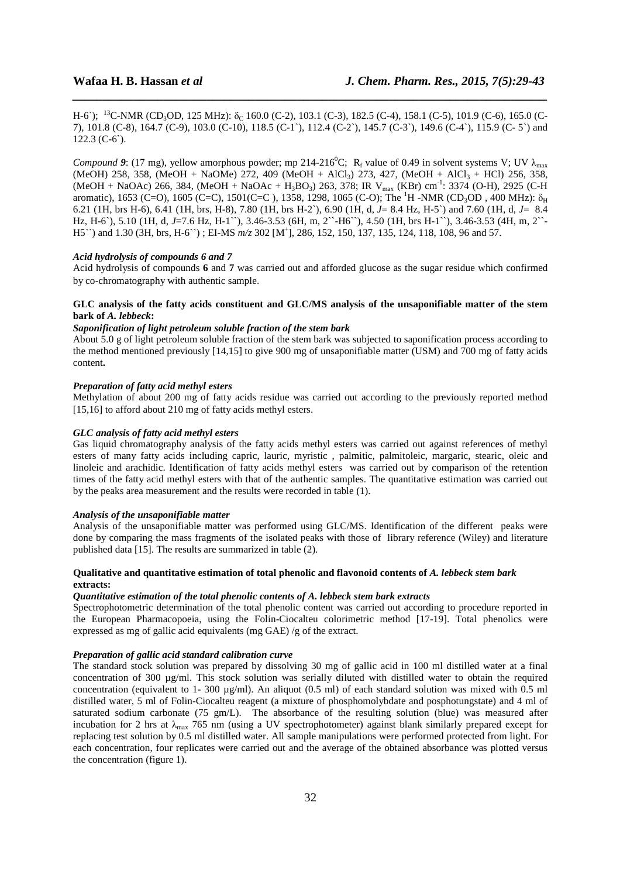H-6`); <sup>13</sup>C-NMR (CD<sub>3</sub>OD, 125 MHz):  $\delta_c$  160.0 (C-2), 103.1 (C-3), 182.5 (C-4), 158.1 (C-5), 101.9 (C-6), 165.0 (C-7), 101.8 (C-8), 164.7 (C-9), 103.0 (C-10), 118.5 (C-1`), 112.4 (C-2`), 145.7 (C-3`), 149.6 (C-4`), 115.9 (C- 5`) and  $122.3$  (C-6).

*\_\_\_\_\_\_\_\_\_\_\_\_\_\_\_\_\_\_\_\_\_\_\_\_\_\_\_\_\_\_\_\_\_\_\_\_\_\_\_\_\_\_\_\_\_\_\_\_\_\_\_\_\_\_\_\_\_\_\_\_\_\_\_\_\_\_\_\_\_\_\_\_\_\_\_\_\_\_*

*Compound 9*: (17 mg), yellow amorphous powder; mp 214-216<sup>0</sup>C; R<sub>f</sub> value of 0.49 in solvent systems V; UV  $\lambda_{\text{max}}$ (MeOH) 258, 358, (MeOH + NaOMe) 272, 409 (MeOH + AlCl<sub>3</sub>) 273, 427, (MeOH + AlCl<sub>3</sub> + HCl) 256, 358, (MeOH + NaOAc) 266, 384, (MeOH + NaOAc + H3BO3) 263, 378; IR Vmax (KBr) cm-1: 3374 (O-H), 2925 (C-H aromatic), 1653 (C=O), 1605 (C=C), 1501 (C=C), 1358, 1298, 1065 (C-O); The <sup>1</sup>H -NMR (CD<sub>3</sub>OD, 400 MHz):  $\delta_{\rm H}$ 6.21 (1H, brs H-6), 6.41 (1H, brs, H-8), 7.80 (1H, brs H-2`), 6.90 (1H, d, *J*= 8.4 Hz, H-5`) and 7.60 (1H, d, *J*= 8.4 Hz, H-6`), 5.10 (1H, d, *J*=7.6 Hz, H-1``), 3.46-3.53 (6H, m, 2``-H6``), 4.50 (1H, brs H-1``), 3.46-3.53 (4H, m, 2``- H5<sup>\*\*</sup>) and 1.30 (3H, brs, H-6<sup>\*\*</sup>); EI-MS  $m/z$  302 [M<sup>+</sup>], 286, 152, 150, 137, 135, 124, 118, 108, 96 and 57.

## *Acid hydrolysis of compounds 6 and 7*

Acid hydrolysis of compounds **6** and **7** was carried out and afforded glucose as the sugar residue which confirmed by co-chromatography with authentic sample.

## **GLC analysis of the fatty acids constituent and GLC/MS analysis of the unsaponifiable matter of the stem bark of** *A. lebbeck***:**

## *Saponification of light petroleum soluble fraction of the stem bark*

About 5.0 g of light petroleum soluble fraction of the stem bark was subjected to saponification process according to the method mentioned previously [14,15] to give 900 mg of unsaponifiable matter (USM) and 700 mg of fatty acids content**.** 

## *Preparation of fatty acid methyl esters*

Methylation of about 200 mg of fatty acids residue was carried out according to the previously reported method [15,16] to afford about 210 mg of fatty acids methyl esters.

## *GLC analysis of fatty acid methyl esters*

Gas liquid chromatography analysis of the fatty acids methyl esters was carried out against references of methyl esters of many fatty acids including capric, lauric, myristic , palmitic, palmitoleic, margaric, stearic, oleic and linoleic and arachidic. Identification of fatty acids methyl esters was carried out by comparison of the retention times of the fatty acid methyl esters with that of the authentic samples. The quantitative estimation was carried out by the peaks area measurement and the results were recorded in table (1).

## *Analysis of the unsaponifiable matter*

Analysis of the unsaponifiable matter was performed using GLC/MS. Identification of the different peaks were done by comparing the mass fragments of the isolated peaks with those of library reference (Wiley) and literature published data [15]. The results are summarized in table (2).

## **Qualitative and quantitative estimation of total phenolic and flavonoid contents of** *A. lebbeck stem bark*   **extracts:**

## *Quantitative estimation of the total phenolic contents of A. lebbeck stem bark extracts*

Spectrophotometric determination of the total phenolic content was carried out according to procedure reported in the European Pharmacopoeia, using the Folin-Ciocalteu colorimetric method [17-19]. Total phenolics were expressed as mg of gallic acid equivalents (mg GAE) /g of the extract.

## *Preparation of gallic acid standard calibration curve*

The standard stock solution was prepared by dissolving 30 mg of gallic acid in 100 ml distilled water at a final concentration of 300 µg/ml. This stock solution was serially diluted with distilled water to obtain the required concentration (equivalent to 1- 300  $\mu$ g/ml). An aliquot (0.5 ml) of each standard solution was mixed with 0.5 ml distilled water, 5 ml of Folin-Ciocalteu reagent (a mixture of phosphomolybdate and posphotungstate) and 4 ml of saturated sodium carbonate (75 gm/L). The absorbance of the resulting solution (blue) was measured after incubation for 2 hrs at  $\lambda_{\text{max}}$  765 nm (using a UV spectrophotometer) against blank similarly prepared except for replacing test solution by 0.5 ml distilled water. All sample manipulations were performed protected from light. For each concentration, four replicates were carried out and the average of the obtained absorbance was plotted versus the concentration (figure 1).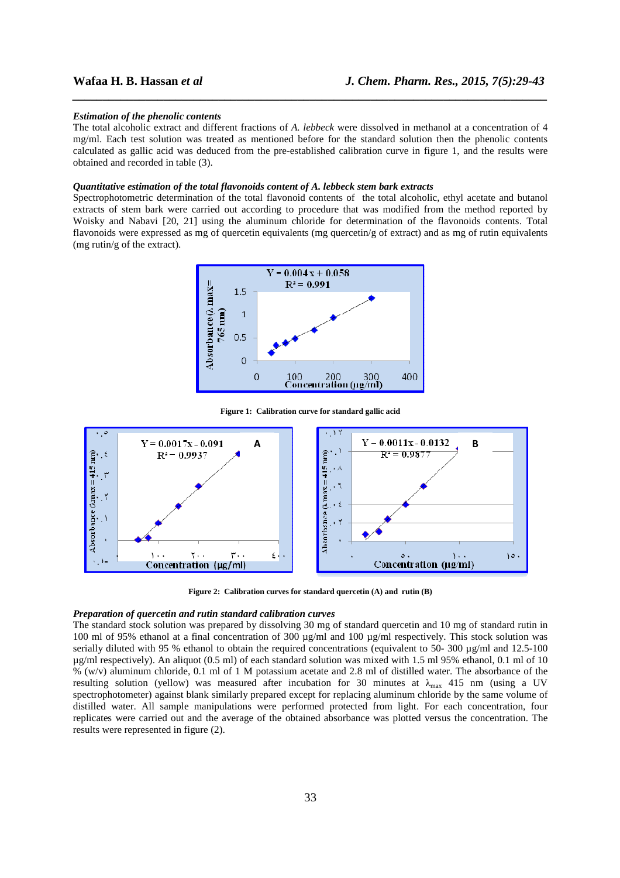#### *Estimation of the phenolic contents*

The total alcoholic extract and different fractions of *A. lebbeck* were dissolved in methanol at a concentration of 4 mg/ml. Each test solution was treated as mentioned before for the standard solution then the phenolic contents calculated as gallic acid was deduced from the pre-established calibration curve in figure 1, and the results were obtained and recorded in table (3).

*\_\_\_\_\_\_\_\_\_\_\_\_\_\_\_\_\_\_\_\_\_\_\_\_\_\_\_\_\_\_\_\_\_\_\_\_\_\_\_\_\_\_\_\_\_\_\_\_\_\_\_\_\_\_\_\_\_\_\_\_\_\_\_\_\_\_\_\_\_\_\_\_\_\_\_\_\_\_*

## *Quantitative estimation of the total flavonoids content of A. lebbeck stem bark extracts*

Spectrophotometric determination of the total flavonoid contents of the total alcoholic, ethyl acetate and butanol extracts of stem bark were carried out according to procedure that was modified from the method reported by Woisky and Nabavi [20, 21] using the aluminum chloride for determination of the flavonoids contents. Total flavonoids were expressed as mg of quercetin equivalents (mg quercetin/g of extract) and as mg of rutin equivalents (mg rutin/g of the extract).



**Figure 1: Calibration curve for standard gallic acid** 



**Figure 2: Calibration curves for standard quercetin (A) and rutin (B)** 

## *Preparation of quercetin and rutin standard calibration curves*

The standard stock solution was prepared by dissolving 30 mg of standard quercetin and 10 mg of standard rutin in 100 ml of 95% ethanol at a final concentration of 300 µg/ml and 100 µg/ml respectively. This stock solution was serially diluted with 95 % ethanol to obtain the required concentrations (equivalent to 50- 300 µg/ml and 12.5-100 µg/ml respectively). An aliquot (0.5 ml) of each standard solution was mixed with 1.5 ml 95% ethanol, 0.1 ml of 10 % (w/v) aluminum chloride, 0.1 ml of 1 M potassium acetate and 2.8 ml of distilled water. The absorbance of the resulting solution (yellow) was measured after incubation for 30 minutes at  $\lambda_{\text{max}}$  415 nm (using a UV spectrophotometer) against blank similarly prepared except for replacing aluminum chloride by the same volume of distilled water. All sample manipulations were performed protected from light. For each concentration, four replicates were carried out and the average of the obtained absorbance was plotted versus the concentration. The results were represented in figure (2).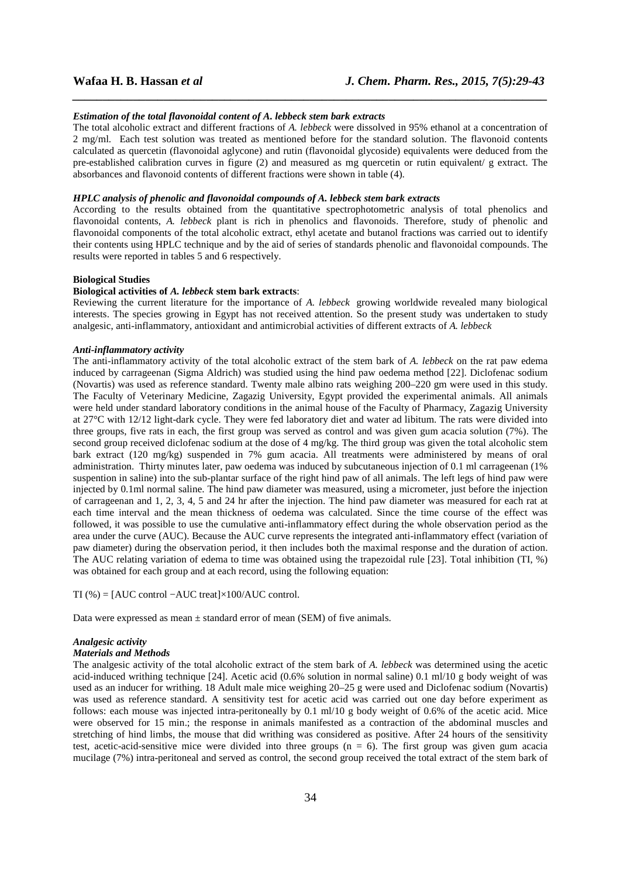## *Estimation of the total flavonoidal content of A. lebbeck stem bark extracts*

The total alcoholic extract and different fractions of *A. lebbeck* were dissolved in 95% ethanol at a concentration of 2 mg/ml. Each test solution was treated as mentioned before for the standard solution. The flavonoid contents calculated as quercetin (flavonoidal aglycone) and rutin (flavonoidal glycoside) equivalents were deduced from the pre-established calibration curves in figure (2) and measured as mg quercetin or rutin equivalent/ g extract. The absorbances and flavonoid contents of different fractions were shown in table (4).

*\_\_\_\_\_\_\_\_\_\_\_\_\_\_\_\_\_\_\_\_\_\_\_\_\_\_\_\_\_\_\_\_\_\_\_\_\_\_\_\_\_\_\_\_\_\_\_\_\_\_\_\_\_\_\_\_\_\_\_\_\_\_\_\_\_\_\_\_\_\_\_\_\_\_\_\_\_\_*

## *HPLC analysis of phenolic and flavonoidal compounds of A. lebbeck stem bark extracts*

According to the results obtained from the quantitative spectrophotometric analysis of total phenolics and flavonoidal contents, *A. lebbeck* plant is rich in phenolics and flavonoids. Therefore, study of phenolic and flavonoidal components of the total alcoholic extract, ethyl acetate and butanol fractions was carried out to identify their contents using HPLC technique and by the aid of series of standards phenolic and flavonoidal compounds. The results were reported in tables 5 and 6 respectively.

## **Biological Studies**

## **Biological activities of** *A. lebbeck* **stem bark extracts**:

Reviewing the current literature for the importance of *A. lebbeck* growing worldwide revealed many biological interests. The species growing in Egypt has not received attention. So the present study was undertaken to study analgesic, anti-inflammatory, antioxidant and antimicrobial activities of different extracts of *A. lebbeck*

## *Anti-inflammatory activity*

The anti-inflammatory activity of the total alcoholic extract of the stem bark of *A. lebbeck* on the rat paw edema induced by carrageenan (Sigma Aldrich) was studied using the hind paw oedema method [22]. Diclofenac sodium (Novartis) was used as reference standard. Twenty male albino rats weighing 200–220 gm were used in this study. The Faculty of Veterinary Medicine, Zagazig University, Egypt provided the experimental animals. All animals were held under standard laboratory conditions in the animal house of the Faculty of Pharmacy, Zagazig University at 27°C with 12/12 light-dark cycle. They were fed laboratory diet and water ad libitum. The rats were divided into three groups, five rats in each, the first group was served as control and was given gum acacia solution (7%). The second group received diclofenac sodium at the dose of 4 mg/kg. The third group was given the total alcoholic stem bark extract (120 mg/kg) suspended in 7% gum acacia. All treatments were administered by means of oral administration. Thirty minutes later, paw oedema was induced by subcutaneous injection of 0.1 ml carrageenan (1% suspention in saline) into the sub-plantar surface of the right hind paw of all animals. The left legs of hind paw were injected by 0.1ml normal saline. The hind paw diameter was measured, using a micrometer, just before the injection of carrageenan and 1, 2, 3, 4, 5 and 24 hr after the injection. The hind paw diameter was measured for each rat at each time interval and the mean thickness of oedema was calculated. Since the time course of the effect was followed, it was possible to use the cumulative anti-inflammatory effect during the whole observation period as the area under the curve (AUC). Because the AUC curve represents the integrated anti-inflammatory effect (variation of paw diameter) during the observation period, it then includes both the maximal response and the duration of action. The AUC relating variation of edema to time was obtained using the trapezoidal rule [23]. Total inhibition (TI, %) was obtained for each group and at each record, using the following equation:

TI  $(\% ) = [AUC control - AUC treat] \times 100/AUC control.$ 

Data were expressed as mean  $\pm$  standard error of mean (SEM) of five animals.

## *Analgesic activity*

#### *Materials and Methods*

The analgesic activity of the total alcoholic extract of the stem bark of *A. lebbeck* was determined using the acetic acid-induced writhing technique [24]. Acetic acid (0.6% solution in normal saline) 0.1 ml/10 g body weight of was used as an inducer for writhing. 18 Adult male mice weighing 20–25 g were used and Diclofenac sodium (Novartis) was used as reference standard. A sensitivity test for acetic acid was carried out one day before experiment as follows: each mouse was injected intra-peritoneally by 0.1 ml/10 g body weight of 0.6% of the acetic acid. Mice were observed for 15 min.; the response in animals manifested as a contraction of the abdominal muscles and stretching of hind limbs, the mouse that did writhing was considered as positive. After 24 hours of the sensitivity test, acetic-acid-sensitive mice were divided into three groups  $(n = 6)$ . The first group was given gum acacia mucilage (7%) intra-peritoneal and served as control, the second group received the total extract of the stem bark of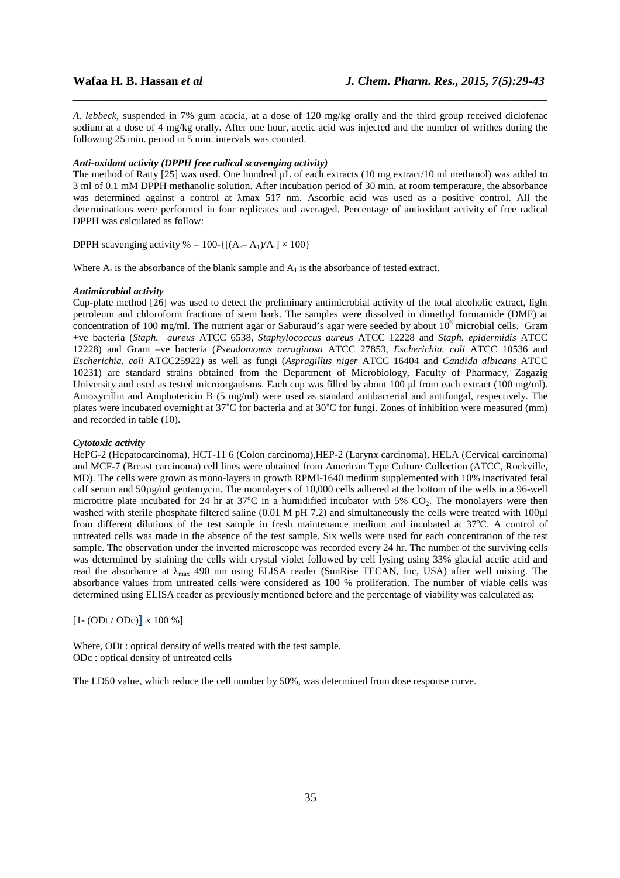*A. lebbeck*, suspended in 7% gum acacia, at a dose of 120 mg/kg orally and the third group received diclofenac sodium at a dose of 4 mg/kg orally. After one hour, acetic acid was injected and the number of writhes during the following 25 min. period in 5 min. intervals was counted.

*\_\_\_\_\_\_\_\_\_\_\_\_\_\_\_\_\_\_\_\_\_\_\_\_\_\_\_\_\_\_\_\_\_\_\_\_\_\_\_\_\_\_\_\_\_\_\_\_\_\_\_\_\_\_\_\_\_\_\_\_\_\_\_\_\_\_\_\_\_\_\_\_\_\_\_\_\_\_*

## *Anti-oxidant activity (DPPH free radical scavenging activity)*

The method of Ratty [25] was used. One hundred  $\mu$ L of each extracts (10 mg extract/10 ml methanol) was added to 3 ml of 0.1 mM DPPH methanolic solution. After incubation period of 30 min. at room temperature, the absorbance was determined against a control at λmax 517 nm. Ascorbic acid was used as a positive control. All the determinations were performed in four replicates and averaged. Percentage of antioxidant activity of free radical DPPH was calculated as follow:

DPPH scavenging activity % = 100- $\{[(A_{\circ}-A_1)/A_{\circ}] \times 100\}$ 

Where  $A<sub>∘</sub>$  is the absorbance of the blank sample and  $A<sub>1</sub>$  is the absorbance of tested extract.

## *Antimicrobial activity*

Cup-plate method [26] was used to detect the preliminary antimicrobial activity of the total alcoholic extract, light petroleum and chloroform fractions of stem bark. The samples were dissolved in dimethyl formamide (DMF) at concentration of 100 mg/ml. The nutrient agar or Saburaud's agar were seeded by about  $10^6$  microbial cells. Gram +ve bacteria (*Staph. aureus* ATCC 6538, *Staphylococcus aureus* ATCC 12228 and *Staph. epidermidis* ATCC 12228) and Gram –ve bacteria (*Pseudomonas aeruginosa* ATCC 27853, *Escherichia. coli* ATCC 10536 and *Escherichia. coli* ATCC25922) as well as fungi (*Aspragillus niger* ATCC 16404 and *Candida albicans* ATCC 10231) are standard strains obtained from the Department of Microbiology, Faculty of Pharmacy, Zagazig University and used as tested microorganisms. Each cup was filled by about  $100 \mu$  from each extract ( $100 \text{ mg/ml}$ ). Amoxycillin and Amphotericin B (5 mg/ml) were used as standard antibacterial and antifungal, respectively. The plates were incubated overnight at 37˚C for bacteria and at 30˚C for fungi. Zones of inhibition were measured (mm) and recorded in table (10).

## *Cytotoxic activity*

HePG-2 (Hepatocarcinoma), HCT-11 6 (Colon carcinoma),HEP-2 (Larynx carcinoma), HELA (Cervical carcinoma) and MCF-7 (Breast carcinoma) cell lines were obtained from American Type Culture Collection (ATCC, Rockville, MD). The cells were grown as mono-layers in growth RPMI-1640 medium supplemented with 10% inactivated fetal calf serum and 50µg/ml gentamycin. The monolayers of 10,000 cells adhered at the bottom of the wells in a 96-well microtitre plate incubated for 24 hr at  $37^{\circ}$ C in a humidified incubator with 5% CO<sub>2</sub>. The monolayers were then washed with sterile phosphate filtered saline (0.01 M pH 7.2) and simultaneously the cells were treated with 100ul from different dilutions of the test sample in fresh maintenance medium and incubated at  $37^{\circ}$ C. A control of untreated cells was made in the absence of the test sample. Six wells were used for each concentration of the test sample. The observation under the inverted microscope was recorded every 24 hr. The number of the surviving cells was determined by staining the cells with crystal violet followed by cell lysing using 33% glacial acetic acid and read the absorbance at λmax 490 nm using ELISA reader (SunRise TECAN, Inc, USA) after well mixing. The absorbance values from untreated cells were considered as 100 % proliferation. The number of viable cells was determined using ELISA reader as previously mentioned before and the percentage of viability was calculated as:

## $[1-(ODt/ODc)] \times 100 \%$

Where, ODt : optical density of wells treated with the test sample. ODc : optical density of untreated cells

The LD50 value, which reduce the cell number by 50%, was determined from dose response curve.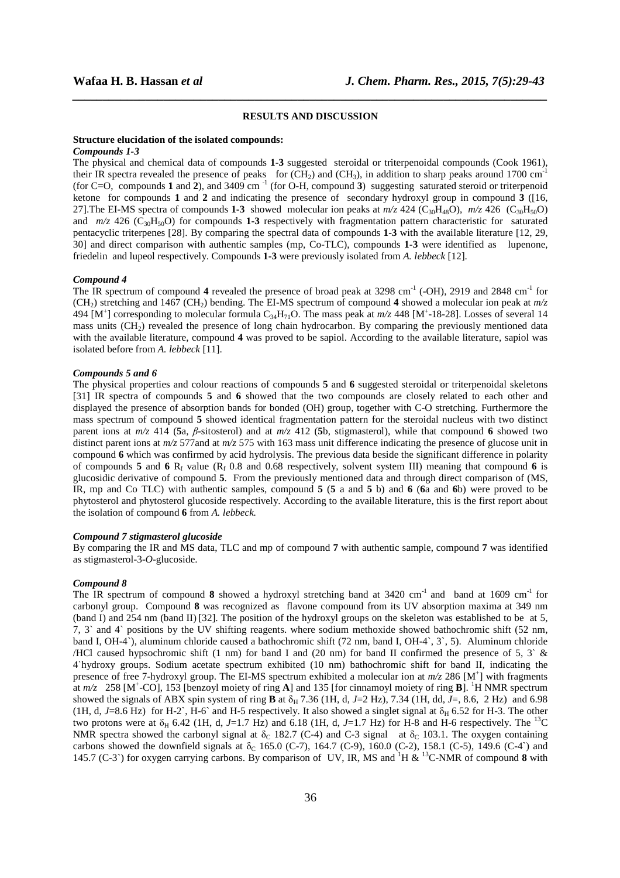# *\_\_\_\_\_\_\_\_\_\_\_\_\_\_\_\_\_\_\_\_\_\_\_\_\_\_\_\_\_\_\_\_\_\_\_\_\_\_\_\_\_\_\_\_\_\_\_\_\_\_\_\_\_\_\_\_\_\_\_\_\_\_\_\_\_\_\_\_\_\_\_\_\_\_\_\_\_\_* **RESULTS AND DISCUSSION**

#### **Structure elucidation of the isolated compounds:**

### *Compounds 1-3*

The physical and chemical data of compounds **1-3** suggested steroidal or triterpenoidal compounds (Cook 1961), their IR spectra revealed the presence of peaks for  $(\overrightarrow{CH_2})$  and  $(\overrightarrow{CH_3})$ , in addition to sharp peaks around 1700 cm<sup>-1</sup> (for C=O, compounds 1 and 2), and 3409 cm<sup>-1</sup> (for O-H, compound 3) suggesting saturated steroid or triterpenoid ketone for compounds **1** and **2** and indicating the presence of secondary hydroxyl group in compound **3** ([16, 27].The EI-MS spectra of compounds 1-3 showed molecular ion peaks at  $m/z$  424 (C<sub>30</sub>H<sub>48</sub>O),  $m/z$  426 (C<sub>30</sub>H<sub>50</sub>O) and  $m/z$  426 (C<sub>30</sub>H<sub>50</sub>O) for compounds 1-3 respectively with fragmentation pattern characteristic for saturated pentacyclic triterpenes [28]. By comparing the spectral data of compounds **1-3** with the available literature [12, 29, 30] and direct comparison with authentic samples (mp, Co-TLC), compounds **1-3** were identified as lupenone, friedelin and lupeol respectively. Compounds **1-3** were previously isolated from *A. lebbeck* [12].

## *Compound 4*

The IR spectrum of compound 4 revealed the presence of broad peak at 3298 cm<sup>-1</sup> (-OH), 2919 and 2848 cm<sup>-1</sup> for (CH<sub>2</sub>) stretching and 1467 (CH<sub>2</sub>) bending. The EI-MS spectrum of compound 4 showed a molecular ion peak at  $m/z$ 494 [M<sup>+</sup>] corresponding to molecular formula  $C_{34}H_{71}O$ . The mass peak at  $m/z$  448 [M<sup>+</sup>-18-28]. Losses of several 14 mass units  $(CH<sub>2</sub>)$  revealed the presence of long chain hydrocarbon. By comparing the previously mentioned data with the available literature, compound **4** was proved to be sapiol. According to the available literature, sapiol was isolated before from *A. lebbeck* [11].

## *Compounds 5 and 6*

The physical properties and colour reactions of compounds **5** and **6** suggested steroidal or triterpenoidal skeletons [31] IR spectra of compounds **5** and **6** showed that the two compounds are closely related to each other and displayed the presence of absorption bands for bonded (OH) group, together with C-O stretching. Furthermore the mass spectrum of compound **5** showed identical fragmentation pattern for the steroidal nucleus with two distinct parent ions at *m/z* 414 (**5**a, *β*-sitosterol) and at *m/z* 412 (**5**b, stigmasterol), while that compound **6** showed two distinct parent ions at *m/z* 577and at *m/z* 575 with 163 mass unit difference indicating the presence of glucose unit in compound **6** which was confirmed by acid hydrolysis. The previous data beside the significant difference in polarity of compounds **5** and  $\bf{6}$  R<sub>f</sub> value (R<sub>f</sub> 0.8 and 0.68 respectively, solvent system III) meaning that compound  $\bf{6}$  is glucosidic derivative of compound **5**. From the previously mentioned data and through direct comparison of (MS, IR, mp and Co TLC) with authentic samples, compound **5** (**5** a and **5** b) and **6** (**6**a and **6**b) were proved to be phytosterol and phytosterol glucoside respectively. According to the available literature, this is the first report about the isolation of compound **6** from *A. lebbeck.*

## *Compound 7 stigmasterol glucoside*

By comparing the IR and MS data, TLC and mp of compound **7** with authentic sample, compound **7** was identified as stigmasterol-3-*O*-glucoside.

## *Compound 8*

The IR spectrum of compound 8 showed a hydroxyl stretching band at 3420 cm<sup>-1</sup> and band at 1609 cm<sup>-1</sup> for carbonyl group. Compound **8** was recognized as flavone compound from its UV absorption maxima at 349 nm (band I) and 254 nm (band II) [32]. The position of the hydroxyl groups on the skeleton was established to be at 5, 7, 3` and 4` positions by the UV shifting reagents. where sodium methoxide showed bathochromic shift (52 nm, band I, OH-4`), aluminum chloride caused a bathochromic shift (72 nm, band I, OH-4`, 3`, 5). Aluminum chloride /HCl caused hypsochromic shift (1 nm) for band I and (20 nm) for band II confirmed the presence of 5, 3` & 4`hydroxy groups. Sodium acetate spectrum exhibited (10 nm) bathochromic shift for band II, indicating the presence of free 7-hydroxyl group. The EI-MS spectrum exhibited a molecular ion at  $m/z$  286 [M<sup>+</sup>] with fragments at  $m/z$  258 [M<sup>+</sup>-CO], 153 [benzoyl moiety of ring **A**] and 135 [for cinnamoyl moiety of ring **B**]. <sup>1</sup>H NMR spectrum showed the signals of ABX spin system of ring **B** at  $\delta_H$  7.36 (1H, d, *J*=2 Hz), 7.34 (1H, dd, *J*=, 8.6, 2 Hz) and 6.98 (1H, d,  $J=8.6$  Hz) for H-2<sup>\*</sup>, H-6<sup>\*</sup> and H-5 respectively. It also showed a singlet signal at  $\delta_H$  6.52 for H-3. The other two protons were at  $\delta_H$  6.42 (1H, d, *J*=1.7 Hz) and 6.18 (1H, d, *J*=1.7 Hz) for H-8 and H-6 respectively. The <sup>13</sup>C NMR spectra showed the carbonyl signal at  $\delta_C$  182.7 (C-4) and C-3 signal at  $\delta_C$  103.1. The oxygen containing carbons showed the downfield signals at  $\delta_c$  165.0 (C-7), 164.7 (C-9), 160.0 (C-2), 158.1 (C-5), 149.6 (C-4<sup>x</sup>) and 145.7 (C-3`) for oxygen carrying carbons. By comparison of UV, IR, MS and <sup>1</sup>H & <sup>13</sup>C-NMR of compound **8** with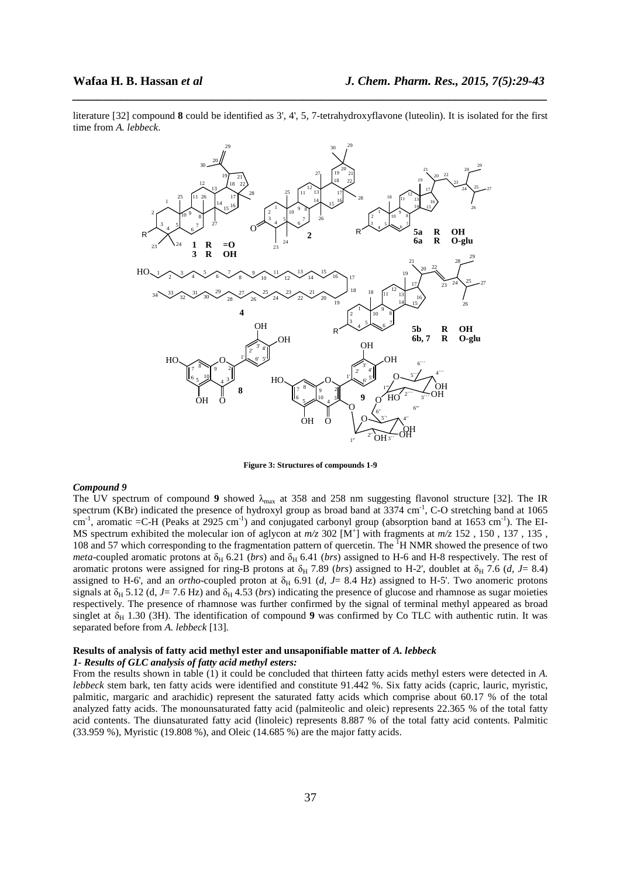literature [32] compound **8** could be identified as 3', 4', 5, 7-tetrahydroxyflavone (luteolin). It is isolated for the first time from *A. lebbeck*.

*\_\_\_\_\_\_\_\_\_\_\_\_\_\_\_\_\_\_\_\_\_\_\_\_\_\_\_\_\_\_\_\_\_\_\_\_\_\_\_\_\_\_\_\_\_\_\_\_\_\_\_\_\_\_\_\_\_\_\_\_\_\_\_\_\_\_\_\_\_\_\_\_\_\_\_\_\_\_*



**Figure 3: Structures of compounds 1-9** 

## *Compound 9*

The UV spectrum of compound 9 showed λ<sub>max</sub> at 358 and 258 nm suggesting flavonol structure [32]. The IR spectrum (KBr) indicated the presence of hydroxyl group as broad band at  $3374 \text{ cm}^{-1}$ , C-O stretching band at 1065  $\text{cm}^{-1}$ , aromatic =C-H (Peaks at 2925 cm<sup>-1</sup>) and conjugated carbonyl group (absorption band at 1653 cm<sup>-1</sup>). The EI-MS spectrum exhibited the molecular ion of aglycon at  $m/z$  302 [M<sup>+</sup>] with fragments at  $m/z$  152, 150, 137, 135, 108 and 57 which corresponding to the fragmentation pattern of quercetin. The <sup>1</sup>H NMR showed the presence of two *meta*-coupled aromatic protons at  $\delta_H$  6.21 (*brs*) and  $\delta_H$  6.41 (*brs*) assigned to H-6 and H-8 respectively. The rest of aromatic protons were assigned for ring-B protons at  $\delta_H$  7.89 (*brs*) assigned to H-2', doublet at  $\delta_H$  7.6 (*d, J*= 8.4) assigned to H-6', and an *ortho*-coupled proton at  $\delta_H$  6.91 (*d*, *J*= 8.4 Hz) assigned to H-5'. Two anomeric protons signals at  $\delta_H$  5.12 (d, *J*= 7.6 Hz) and  $\delta_H$  4.53 (*brs*) indicating the presence of glucose and rhamnose as sugar moieties respectively. The presence of rhamnose was further confirmed by the signal of terminal methyl appeared as broad singlet at  $\delta_H$  1.30 (3H). The identification of compound **9** was confirmed by Co TLC with authentic rutin. It was separated before from *A. lebbeck* [13].

## **Results of analysis of fatty acid methyl ester and unsaponifiable matter of** *A. lebbeck*

## *1- Results of GLC analysis of fatty acid methyl esters:*

From the results shown in table (1) it could be concluded that thirteen fatty acids methyl esters were detected in *A. lebbeck* stem bark, ten fatty acids were identified and constitute 91.442 %. Six fatty acids (capric, lauric, myristic, palmitic, margaric and arachidic) represent the saturated fatty acids which comprise about 60.17 % of the total analyzed fatty acids. The monounsaturated fatty acid (palmiteolic and oleic) represents 22.365 % of the total fatty acid contents. The diunsaturated fatty acid (linoleic) represents 8.887 % of the total fatty acid contents. Palmitic (33.959 %), Myristic (19.808 %), and Oleic (14.685 %) are the major fatty acids.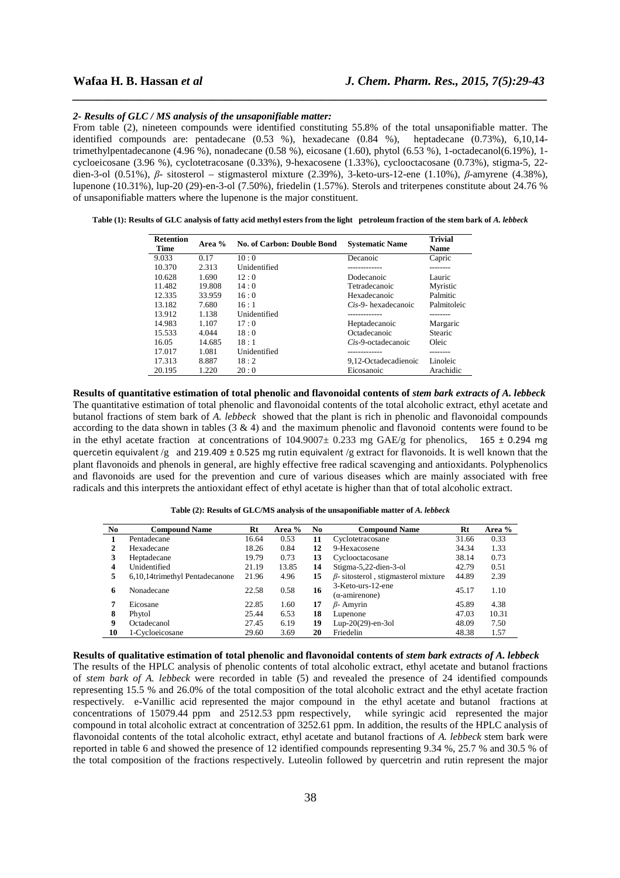## *2- Results of GLC / MS analysis of the unsaponifiable matter:*

From table (2), nineteen compounds were identified constituting 55.8% of the total unsaponifiable matter. The identified compounds are: pentadecane (0.53 %), hexadecane (0.84 %), heptadecane (0.73%), 6,10,14 trimethylpentadecanone (4.96 %), nonadecane (0.58 %), eicosane (1.60), phytol (6.53 %), 1-octadecanol(6.19%), 1cycloeicosane (3.96 %), cyclotetracosane (0.33%), 9-hexacosene (1.33%), cyclooctacosane (0.73%), stigma-5, 22 dien-3-ol (0.51%), *β*- sitosterol – stigmasterol mixture (2.39%), 3-keto-urs-12-ene (1.10%), *β*-amyrene (4.38%), lupenone (10.31%), lup-20 (29)-en-3-ol (7.50%), friedelin (1.57%). Sterols and triterpenes constitute about 24.76 % of unsaponifiable matters where the lupenone is the major constituent.

*\_\_\_\_\_\_\_\_\_\_\_\_\_\_\_\_\_\_\_\_\_\_\_\_\_\_\_\_\_\_\_\_\_\_\_\_\_\_\_\_\_\_\_\_\_\_\_\_\_\_\_\_\_\_\_\_\_\_\_\_\_\_\_\_\_\_\_\_\_\_\_\_\_\_\_\_\_\_*

Table (1): Results of GLC analysis of fatty acid methyl esters from the light petroleum fraction of the stem bark of *A. lebbeck* 

| <b>Retention</b><br><b>Time</b> | Area % | No. of Carbon: Double Bond | <b>Systematic Name</b> | <b>Trivial</b><br><b>Name</b> |
|---------------------------------|--------|----------------------------|------------------------|-------------------------------|
| 9.033                           | 0.17   | 10:0                       | Decanoic               | Capric                        |
| 10.370                          | 2.313  | Unidentified               |                        |                               |
| 10.628                          | 1.690  | 12:0                       | Dodecanoic             | Lauric                        |
| 11.482                          | 19.808 | 14:0                       | Tetradecanoic          | Myristic                      |
| 12.335                          | 33.959 | 16:0                       | Hexadecanoic           | Palmitic                      |
| 13.182                          | 7.680  | 16:1                       | Cis-9- hexadecanoic    | Palmitoleic                   |
| 13.912                          | 1.138  | Unidentified               | ------------           | --------                      |
| 14.983                          | 1.107  | 17:0                       | Heptadecanoic          | Margaric                      |
| 15.533                          | 4.044  | 18:0                       | Octadecanoic           | Stearic                       |
| 16.05                           | 14.685 | 18:1                       | Cis-9-octadecanoic     | Oleic                         |
| 17.017                          | 1.081  | Unidentified               |                        |                               |
| 17.313                          | 8.887  | 18:2                       | 9,12-Octadecadienoic   | Linoleic                      |
| 20.195                          | 1.220  | 20:0                       | Eicosanoic             | Arachidic                     |

**Results of quantitative estimation of total phenolic and flavonoidal contents of** *stem bark extracts of A. lebbeck* The quantitative estimation of total phenolic and flavonoidal contents of the total alcoholic extract, ethyl acetate and butanol fractions of stem bark of *A. lebbeck* showed that the plant is rich in phenolic and flavonoidal compounds according to the data shown in tables  $(3 \& 4)$  and the maximum phenolic and flavonoid contents were found to be in the ethyl acetate fraction at concentrations of  $104.9007 \pm 0.233$  mg GAE/g for phenolics, 165  $\pm$  0.294 mg quercetin equivalent /g and 219.409  $\pm$  0.525 mg rutin equivalent /g extract for flavonoids. It is well known that the plant flavonoids and phenols in general, are highly effective free radical scavenging and antioxidants. Polyphenolics and flavonoids are used for the prevention and cure of various diseases which are mainly associated with free radicals and this interprets the antioxidant effect of ethyl acetate is higher than that of total alcoholic extract.

**Table (2): Results of GLC/MS analysis of the unsaponifiable matter of** *A. lebbeck* 

| No. | <b>Compound Name</b>           | Rt    | Area % | No. | <b>Compound Name</b>                       | Rt    | Area % |
|-----|--------------------------------|-------|--------|-----|--------------------------------------------|-------|--------|
|     | Pentadecane                    | 16.64 | 0.53   | 11  | Cyclotetracosane                           | 31.66 | 0.33   |
| 2   | Hexadecane                     | 18.26 | 0.84   | 12  | 9-Hexacosene                               | 34.34 | 1.33   |
| 3   | Heptadecane                    | 19.79 | 0.73   | 13  | Cyclooctacosane                            | 38.14 | 0.73   |
| 4   | Unidentified                   | 21.19 | 13.85  | 14  | Stigma-5,22-dien-3-ol                      | 42.79 | 0.51   |
| 5   | 6,10,14trimethyl Pentadecanone | 21.96 | 4.96   | 15  | $\beta$ - sitosterol, stigmasterol mixture | 44.89 | 2.39   |
| 6   | Nonadecane                     | 22.58 | 0.58   | 16  | 3-Keto-urs-12-ene<br>$(\alpha$ -amirenone) | 45.17 | 1.10   |
|     | Eicosane                       | 22.85 | 1.60   | 17  | $\beta$ - Amyrin                           | 45.89 | 4.38   |
| 8   | Phytol                         | 25.44 | 6.53   | 18  | Lupenone                                   | 47.03 | 10.31  |
| 9   | Octadecanol                    | 27.45 | 6.19   | 19  | Lup-20 $(29)$ -en-3ol                      | 48.09 | 7.50   |
| 10  | 1-Cycloeicosane                | 29.60 | 3.69   | 20  | Friedelin                                  | 48.38 | 1.57   |

**Results of qualitative estimation of total phenolic and flavonoidal contents of** *stem bark extracts of A. lebbeck*  The results of the HPLC analysis of phenolic contents of total alcoholic extract, ethyl acetate and butanol fractions of *stem bark of A. lebbeck* were recorded in table (5) and revealed the presence of 24 identified compounds representing 15.5 % and 26.0% of the total composition of the total alcoholic extract and the ethyl acetate fraction respectively. e-Vanillic acid represented the major compound in the ethyl acetate and butanol fractions at concentrations of 15079.44 ppm and 2512.53 ppm respectively, while syringic acid represented the major compound in total alcoholic extract at concentration of 3252.61 ppm. In addition, the results of the HPLC analysis of flavonoidal contents of the total alcoholic extract, ethyl acetate and butanol fractions of *A. lebbeck* stem bark were reported in table 6 and showed the presence of 12 identified compounds representing 9.34 %, 25.7 % and 30.5 % of the total composition of the fractions respectively. Luteolin followed by quercetrin and rutin represent the major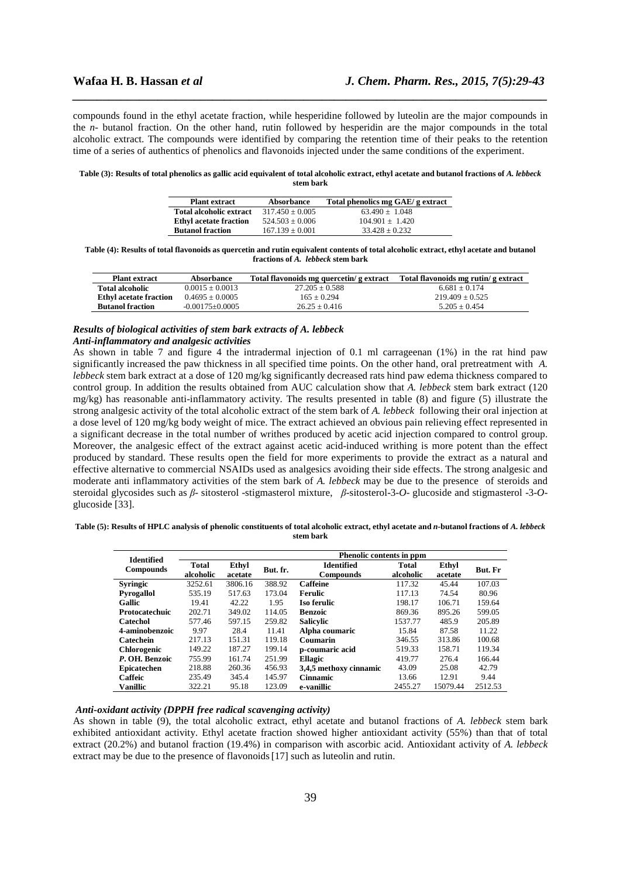compounds found in the ethyl acetate fraction, while hesperidine followed by luteolin are the major compounds in the *n*- butanol fraction. On the other hand, rutin followed by hesperidin are the major compounds in the total alcoholic extract. The compounds were identified by comparing the retention time of their peaks to the retention time of a series of authentics of phenolics and flavonoids injected under the same conditions of the experiment.

*\_\_\_\_\_\_\_\_\_\_\_\_\_\_\_\_\_\_\_\_\_\_\_\_\_\_\_\_\_\_\_\_\_\_\_\_\_\_\_\_\_\_\_\_\_\_\_\_\_\_\_\_\_\_\_\_\_\_\_\_\_\_\_\_\_\_\_\_\_\_\_\_\_\_\_\_\_\_*

**Table (3): Results of total phenolics as gallic acid equivalent of total alcoholic extract, ethyl acetate and butanol fractions of** *A. lebbeck* **stem bark** 

| <b>Plant extract</b>           | Absorbance          | Total phenolics mg GAE/g extract |
|--------------------------------|---------------------|----------------------------------|
| <b>Total alcoholic extract</b> | $317.450 \pm 0.005$ | $63.490 \pm 1.048$               |
| <b>Ethyl acetate fraction</b>  | $524.503 \pm 0.006$ | $104.901 \pm 1.420$              |
| <b>Butanol fraction</b>        | $167.139 \pm 0.001$ | $33.428 + 0.232$                 |

**Table (4): Results of total flavonoids as quercetin and rutin equivalent contents of total alcoholic extract, ethyl acetate and butanol fractions of** *A. lebbeck* **stem bark** 

| <b>Plant extract</b>          | Absorbance          | Total flavonoids mg quercetin/g extract | Total flavonoids mg rutin/g extract |
|-------------------------------|---------------------|-----------------------------------------|-------------------------------------|
| Total alcoholic               | $0.0015 + 0.0013$   | $27.205 + 0.588$                        | $6.681 + 0.174$                     |
| <b>Ethyl acetate fraction</b> | $0.4695 \pm 0.0005$ | $165 + 0.294$                           | $219.409 + 0.525$                   |
| <b>Butanol fraction</b>       | $-0.00175+0.0005$   | $26.25 + 0.416$                         | $5.205 + 0.454$                     |

## *Results of biological activities of stem bark extracts of A. lebbeck Anti-inflammatory and analgesic activities*

As shown in table 7 and figure 4 the intradermal injection of 0.1 ml carrageenan (1%) in the rat hind paw significantly increased the paw thickness in all specified time points. On the other hand, oral pretreatment with *A. lebbeck* stem bark extract at a dose of 120 mg/kg significantly decreased rats hind paw edema thickness compared to control group. In addition the results obtained from AUC calculation show that *A. lebbeck* stem bark extract (120 mg/kg) has reasonable anti-inflammatory activity. The results presented in table (8) and figure (5) illustrate the strong analgesic activity of the total alcoholic extract of the stem bark of *A. lebbeck* following their oral injection at a dose level of 120 mg/kg body weight of mice. The extract achieved an obvious pain relieving effect represented in a significant decrease in the total number of writhes produced by acetic acid injection compared to control group. Moreover, the analgesic effect of the extract against acetic acid-induced writhing is more potent than the effect produced by standard. These results open the field for more experiments to provide the extract as a natural and effective alternative to commercial NSAIDs used as analgesics avoiding their side effects. The strong analgesic and moderate anti inflammatory activities of the stem bark of *A. lebbeck* may be due to the presence of steroids and steroidal glycosides such as *β*- sitosterol -stigmasterol mixture, *β*-sitosterol-3-*O*- glucoside and stigmasterol -3-*O*glucoside [33].

| Table (5): Results of HPLC analysis of phenolic constituents of total alcoholic extract, ethyl acetate and n-butanol fractions of A. lebbeck |
|----------------------------------------------------------------------------------------------------------------------------------------------|
| stem bark                                                                                                                                    |

| <b>Identified</b>  | Phenolic contents in ppm  |                  |          |                                       |                           |                         |         |  |  |
|--------------------|---------------------------|------------------|----------|---------------------------------------|---------------------------|-------------------------|---------|--|--|
| <b>Compounds</b>   | <b>Total</b><br>alcoholic | Ethyl<br>acetate | But. fr. | <b>Identified</b><br><b>Compounds</b> | <b>Total</b><br>alcoholic | <b>Ethyl</b><br>acetate | But. Fr |  |  |
| <b>Syringic</b>    | 3252.61                   | 3806.16          | 388.92   | Caffeine                              | 117.32                    | 45.44                   | 107.03  |  |  |
| Pyrogallol         | 535.19                    | 517.63           | 173.04   | Ferulic                               | 117.13                    | 74.54                   | 80.96   |  |  |
| <b>Gallic</b>      | 19.41                     | 42.22            | 1.95     | <b>Iso ferulic</b>                    | 198.17                    | 106.71                  | 159.64  |  |  |
| Protocatechuic     | 202.71                    | 349.02           | 114.05   | <b>Benzoic</b>                        | 869.36                    | 895.26                  | 599.05  |  |  |
| Catechol           | 577.46                    | 597.15           | 259.82   | <b>Salicylic</b>                      | 1537.77                   | 485.9                   | 205.89  |  |  |
| 4-aminobenzoic     | 9.97                      | 28.4             | 11.41    | Alpha coumaric                        | 15.84                     | 87.58                   | 11.22   |  |  |
| Catechein          | 217.13                    | 151.31           | 119.18   | Coumarin                              | 346.55                    | 313.86                  | 100.68  |  |  |
| <b>Chlorogenic</b> | 149.22                    | 187.27           | 199.14   | p-coumaric acid                       | 519.33                    | 158.71                  | 119.34  |  |  |
| P. OH. Benzoic     | 755.99                    | 161.74           | 251.99   | <b>Ellagic</b>                        | 419.77                    | 276.4                   | 166.44  |  |  |
| Epicatechen        | 218.88                    | 260.36           | 456.93   | 3,4,5 methoxy cinnamic                | 43.09                     | 25.08                   | 42.79   |  |  |
| Caffeic            | 235.49                    | 345.4            | 145.97   | <b>Cinnamic</b>                       | 13.66                     | 12.91                   | 9.44    |  |  |
| Vanillic           | 322.21                    | 95.18            | 123.09   | e-vanillic                            | 2455.27                   | 15079.44                | 2512.53 |  |  |

## *Anti-oxidant activity (DPPH free radical scavenging activity)*

As shown in table (9), the total alcoholic extract, ethyl acetate and butanol fractions of *A. lebbeck* stem bark exhibited antioxidant activity. Ethyl acetate fraction showed higher antioxidant activity (55%) than that of total extract (20.2%) and butanol fraction (19.4%) in comparison with ascorbic acid. Antioxidant activity of *A. lebbeck* extract may be due to the presence of flavonoids [17] such as luteolin and rutin.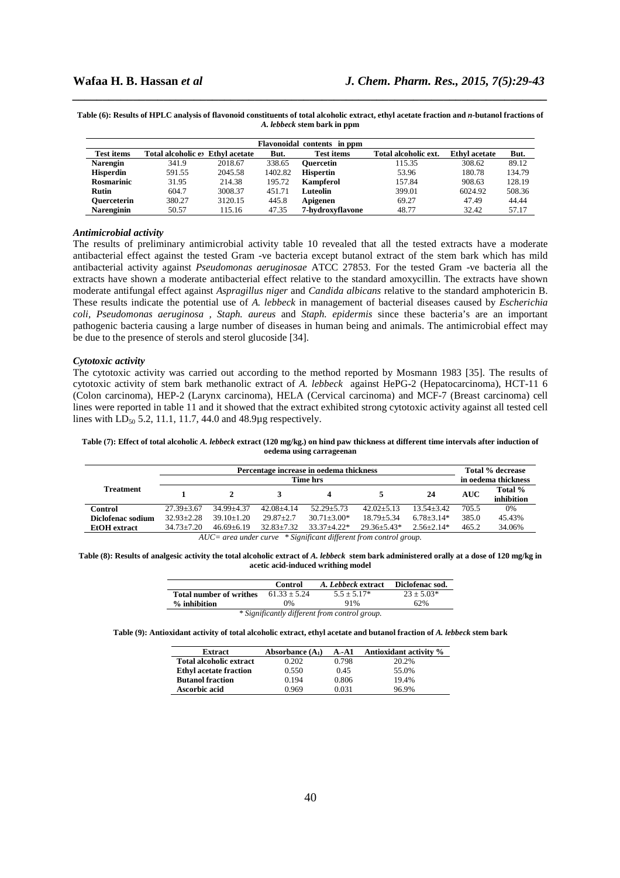**Table (6): Results of HPLC analysis of flavonoid constituents of total alcoholic extract, ethyl acetate fraction and** *n***-butanol fractions of**  *A. lebbeck* **stem bark in ppm** 

*\_\_\_\_\_\_\_\_\_\_\_\_\_\_\_\_\_\_\_\_\_\_\_\_\_\_\_\_\_\_\_\_\_\_\_\_\_\_\_\_\_\_\_\_\_\_\_\_\_\_\_\_\_\_\_\_\_\_\_\_\_\_\_\_\_\_\_\_\_\_\_\_\_\_\_\_\_\_*

| Flavonoidal contents in ppm |                                 |         |         |                  |                      |                      |        |  |  |
|-----------------------------|---------------------------------|---------|---------|------------------|----------------------|----------------------|--------|--|--|
| <b>Test items</b>           | Total alcoholic e Ethyl acetate |         | But.    | Test items       | Total alcoholic ext. | <b>Ethyl acetate</b> | But.   |  |  |
| <b>Narengin</b>             | 341.9                           | 2018.67 | 338.65  | <b>Ouercetin</b> | 115.35               | 308.62               | 89.12  |  |  |
| <b>Hisperdin</b>            | 591.55                          | 2045.58 | 1402.82 | <b>Hispertin</b> | 53.96                | 180.78               | 134.79 |  |  |
| <b>Rosmarinic</b>           | 31.95                           | 214.38  | 195.72  | Kampferol        | 157.84               | 908.63               | 128.19 |  |  |
| Rutin                       | 604.7                           | 3008.37 | 451.71  | Luteolin         | 399.01               | 6024.92              | 508.36 |  |  |
| <b>Ouerceterin</b>          | 380.27                          | 3120.15 | 445.8   | Apigenen         | 69.27                | 47.49                | 44.44  |  |  |
| <b>Narenginin</b>           | 50.57                           | 115.16  | 47.35   | 7-hydroxyflavone | 48.77                | 32.42                | 57.17  |  |  |

## *Antimicrobial activity*

The results of preliminary antimicrobial activity table 10 revealed that all the tested extracts have a moderate antibacterial effect against the tested Gram -ve bacteria except butanol extract of the stem bark which has mild antibacterial activity against *Pseudomonas aeruginosae* ATCC 27853. For the tested Gram -ve bacteria all the extracts have shown a moderate antibacterial effect relative to the standard amoxycillin. The extracts have shown moderate antifungal effect against *Aspragillus niger* and *Candida albicans* relative to the standard amphotericin B. These results indicate the potential use of *A. lebbeck* in management of bacterial diseases caused by *Escherichia coli, Pseudomonas aeruginosa , Staph. aureus* and *Staph. epidermis* since these bacteria's are an important pathogenic bacteria causing a large number of diseases in human being and animals. The antimicrobial effect may be due to the presence of sterols and sterol glucoside [34].

## *Cytotoxic activity*

The cytotoxic activity was carried out according to the method reported by Mosmann 1983 [35]. The results of cytotoxic activity of stem bark methanolic extract of *A. lebbeck* against HePG-2 (Hepatocarcinoma), HCT-11 6 (Colon carcinoma), HEP-2 (Larynx carcinoma), HELA (Cervical carcinoma) and MCF-7 (Breast carcinoma) cell lines were reported in table 11 and it showed that the extract exhibited strong cytotoxic activity against all tested cell lines with  $LD_{50}$  5.2, 11.1, 11.7, 44.0 and 48.9ug respectively.

**Table (7): Effect of total alcoholic** *A. lebbeck* **extract (120 mg/kg.) on hind paw thickness at different time intervals after induction of oedema using carrageenan** 

|                     | Percentage increase in oedema thickness<br>Time hrs |                |                |                 |                 |                |            | Total % decrease<br>in oedema thickness |  |  |
|---------------------|-----------------------------------------------------|----------------|----------------|-----------------|-----------------|----------------|------------|-----------------------------------------|--|--|
| <b>Treatment</b>    |                                                     |                |                |                 |                 | 24             | <b>AUC</b> | Total %<br>inhibition                   |  |  |
| <b>Control</b>      | $27.39 + 3.67$                                      | $34.99 + 4.37$ | $42.08 + 4.14$ | $52.29 + 5.73$  | $42.02 + 5.13$  | $13.54 + 3.42$ | 705.5      | 0%                                      |  |  |
| Diclofenac sodium   | $32.93 + 2.28$                                      | $39.10 + 1.20$ | $29.87 + 2.7$  | $30.71 + 3.00*$ | $18.79 + 5.34$  | $6.78 + 3.14*$ | 385.0      | 45.43%                                  |  |  |
| <b>EtOH</b> extract | $34.73 + 7.20$                                      | $46.69 + 6.19$ | $32.83 + 7.32$ | $33.37 + 4.22*$ | $29.36 + 5.43*$ | $2.56 + 2.14*$ | 465.2      | 34.06%                                  |  |  |
|                     | $1100$ . $1 \tIm$ $1 \tIm$ $1 \tIm$ $100$           |                |                |                 |                 |                |            |                                         |  |  |

*AUC= area under curve \* Significant different from control group.* 

**Table (8): Results of analgesic activity the total alcoholic extract of** *A. lebbeck* **stem bark administered orally at a dose of 120 mg/kg in acetic acid-induced writhing model** 

|                                               | Control        | A. Lebbeck extract | Diclofenac sod. |  |  |  |  |
|-----------------------------------------------|----------------|--------------------|-----------------|--|--|--|--|
| <b>Total number of writhes</b>                | $61.33 + 5.24$ | $5.5 + 5.17*$      | $23 + 5.03*$    |  |  |  |  |
| $%$ inhibition                                | 0%             | 91%                | 62%             |  |  |  |  |
| * Significantly different from control group. |                |                    |                 |  |  |  |  |

**Table (9): Antioxidant activity of total alcoholic extract, ethyl acetate and butanol fraction of** *A. lebbeck* **stem bark** 

| <b>Extract</b>                 | Absorbance $(A_1)$ | $A - A1$ | Antioxidant activity % |
|--------------------------------|--------------------|----------|------------------------|
| <b>Total alcoholic extract</b> | 0.202              | 0.798    | 20.2%                  |
| <b>Ethyl acetate fraction</b>  | 0.550              | 0.45     | 55.0%                  |
| <b>Butanol fraction</b>        | 0.194              | 0.806    | 19.4%                  |
| Ascorbic acid                  | 0.969              | 0.031    | 96.9%                  |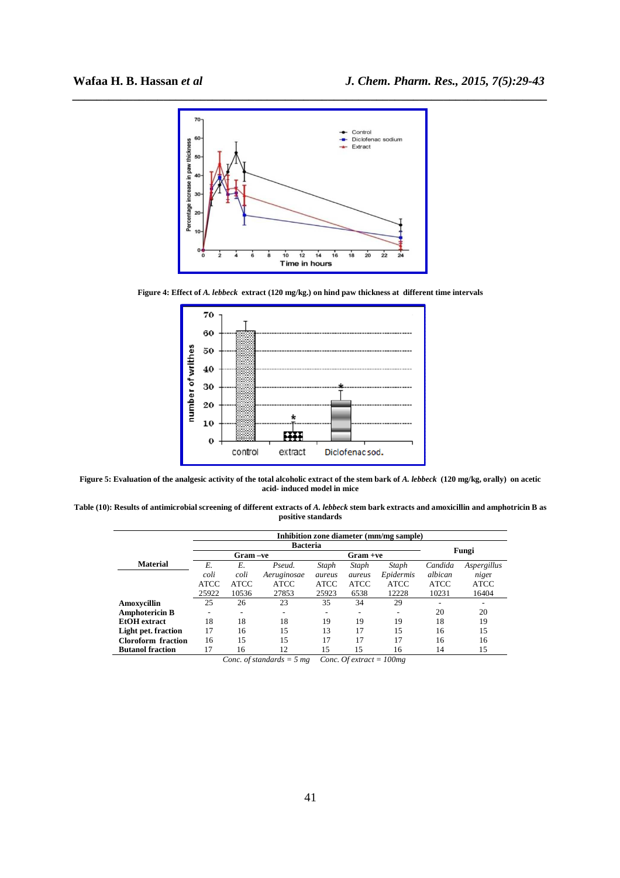

**Figure 4: Effect of** *A. lebbeck* **extract (120 mg/kg.) on hind paw thickness at different time intervals** 



**Figure 5: Evaluation of the analgesic activity of the total alcoholic extract of the stem bark of** *A. lebbeck* **(120 mg/kg, orally) on acetic acid- induced model in mice** 

| Table (10): Results of antimicrobial screening of different extracts of A. lebbeck stem bark extracts and amoxicillin and amphotricin B as |
|--------------------------------------------------------------------------------------------------------------------------------------------|
| positive standards                                                                                                                         |

|                            | Inhibition zone diameter (mm/mg sample) |                          |             |             |                          |             |             |             |  |
|----------------------------|-----------------------------------------|--------------------------|-------------|-------------|--------------------------|-------------|-------------|-------------|--|
|                            |                                         |                          | Fungi       |             |                          |             |             |             |  |
|                            |                                         | Gram-ve                  |             | $Gram + ve$ |                          |             |             |             |  |
| <b>Material</b>            | E.                                      | E.                       | Pseud.      | Staph       | Staph                    | Staph       | Candida     | Aspergillus |  |
|                            | coli                                    | coli                     | Aeruginosae | aureus      | aureus                   | Epidermis   | albican     | niger       |  |
|                            | <b>ATCC</b>                             | <b>ATCC</b>              | ATCC        | <b>ATCC</b> | <b>ATCC</b>              | <b>ATCC</b> | <b>ATCC</b> | <b>ATCC</b> |  |
|                            | 25922                                   | 10536                    | 27853       | 25923       | 6538                     | 12228       | 10231       | 16404       |  |
| Amoxycillin                | 25                                      | 26                       | 23          | 35          | 34                       | 29          |             |             |  |
| <b>Amphotericin B</b>      | $\overline{\phantom{a}}$                | $\overline{\phantom{0}}$ | -           | -           | $\overline{\phantom{a}}$ |             | 20          | 20          |  |
| <b>EtOH</b> extract        | 18                                      | 18                       | 18          | 19          | 19                       | 19          | 18          | 19          |  |
| <b>Light pet. fraction</b> | 17                                      | 16                       | 15          | 13          | 17                       | 15          | 16          | 15          |  |
| <b>Cloroform</b> fraction  | 16                                      | 15                       | 15          | 17          | 17                       | 17          | 16          | 16          |  |
| <b>Butanol fraction</b>    | 17                                      | 16                       | 12          | 15          | 15                       | 16          | 14          | 15          |  |

 *Conc. of standards = 5 mg Conc. Of extract = 100mg*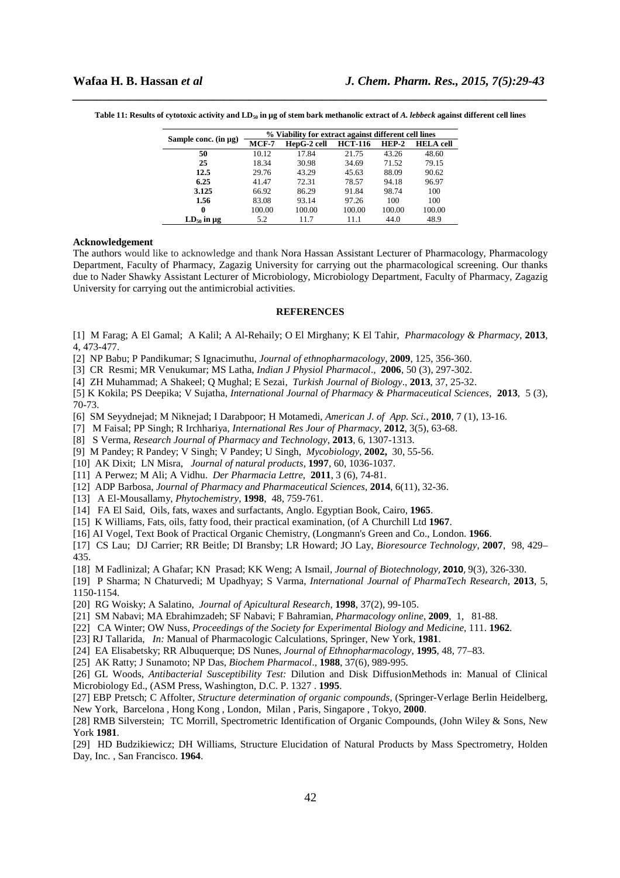| Sample conc. $(in \mu g)$ | % Viability for extract against different cell lines |             |                |         |                  |
|---------------------------|------------------------------------------------------|-------------|----------------|---------|------------------|
|                           | $MCF-7$                                              | HepG-2 cell | <b>HCT-116</b> | $HEP-2$ | <b>HELA</b> cell |
| 50                        | 10.12                                                | 17.84       | 21.75          | 43.26   | 48.60            |
| 25                        | 18.34                                                | 30.98       | 34.69          | 71.52   | 79.15            |
| 12.5                      | 29.76                                                | 43.29       | 45.63          | 88.09   | 90.62            |
| 6.25                      | 41.47                                                | 72.31       | 78.57          | 94.18   | 96.97            |
| 3.125                     | 66.92                                                | 86.29       | 91.84          | 98.74   | 100              |
| 1.56                      | 83.08                                                | 93.14       | 97.26          | 100     | 100              |
| 0                         | 100.00                                               | 100.00      | 100.00         | 100.00  | 100.00           |
| $LD_{50}$ in $\mu$ g      | 5.2                                                  | 11.7        | 11.1           | 44.0    | 48.9             |

*\_\_\_\_\_\_\_\_\_\_\_\_\_\_\_\_\_\_\_\_\_\_\_\_\_\_\_\_\_\_\_\_\_\_\_\_\_\_\_\_\_\_\_\_\_\_\_\_\_\_\_\_\_\_\_\_\_\_\_\_\_\_\_\_\_\_\_\_\_\_\_\_\_\_\_\_\_\_* **Table 11: Results of cytotoxic activity and LD50 in µg of stem bark methanolic extract of** *A. lebbeck* **against different cell lines** 

#### **Acknowledgement**

The authors would like to acknowledge and thank Nora Hassan Assistant Lecturer of Pharmacology, Pharmacology Department, Faculty of Pharmacy, Zagazig University for carrying out the pharmacological screening. Our thanks due to Nader Shawky Assistant Lecturer of Microbiology, Microbiology Department, Faculty of Pharmacy, Zagazig University for carrying out the antimicrobial activities.

## **REFERENCES**

[1] M Farag; A El Gamal; A Kalil; A Al-Rehaily; O El Mirghany; K El Tahir, *Pharmacology & Pharmacy*, **2013**, 4, 473-477.

[2] NP Babu; P Pandikumar; S Ignacimuthu, *Journal of ethnopharmacology*, **2009**, 125, 356-360.

[3] CR Resmi; MR Venukumar; MS Latha, *Indian J Physiol Pharmacol*.*,* **2006**, 50 (3), 297-302.

[4] ZH Muhammad; A Shakeel; Q Mughal; E Sezai, *Turkish Journal of Biology*., **2013**, 37, 25-32.

[5] K Kokila; PS Deepika; V Sujatha, *International Journal of Pharmacy & Pharmaceutical Sciences*, **2013**, 5 (3), 70-73.

[6] SM Seyydnejad; M Niknejad; I Darabpoor; H Motamedi, *American J. of App. Sci.*, **2010**, 7 (1), 13-16.

[7] M Faisal; PP Singh; R Irchhariya, *International Res Jour of Pharmacy*, **2012**, 3(5), 63-68.

[8] S Verma, *Research Journal of Pharmacy and Technology*, **2013**, 6, 1307-1313.

[9] M Pandey; R Pandey; V Singh; V Pandey; U Singh, *Mycobiology,* **2002,**30, 55-56.

[10] AK Dixit; LN Misra, *Journal of natural products*, **1997**, 60, 1036-1037.

[11] A Perwez; M Ali; A Vidhu. *Der Pharmacia Lettre*, **2011**, 3 (6), 74-81.

[12] ADP Barbosa, *Journal of Pharmacy and Pharmaceutical Sciences*, **2014**, 6(11), 32-36.

[13] A El-Mousallamy, *Phytochemistry*, **1998**,48, 759-761.

[14] FA El Said, Oils, fats, waxes and surfactants, Anglo. Egyptian Book, Cairo, **1965**.

[15] K Williams, Fats, oils, fatty food, their practical examination, (of A Churchill Ltd **1967**.

[16] AI Vogel, Text Book of Practical Organic Chemistry, (Longmann's Green and Co., London. **1966**.

[17] CS Lau; DJ Carrier; RR Beitle; DI Bransby; LR Howard; JO Lay, *Bioresource Technology*, **2007**, 98, 429– 435.

[18] M Fadlinizal; A Ghafar; KN Prasad; KK Weng; A Ismail, *Journal of Biotechnology*, **2010**, 9(3), 326-330.

[19] P Sharma; N Chaturvedi; M Upadhyay; S Varma, *International Journal of PharmaTech Research*, **2013**, 5,

1150-1154.

[20] RG Woisky; A Salatino, *Journal of Apicultural Research*, **1998**, 37(2), 99-105.

[21] SM Nabavi; MA Ebrahimzadeh; SF Nabavi; F Bahramian, *Pharmacology online*, **2009**, 1, 81-88.

[22] CA Winter; OW Nuss, *Proceedings of the Society for Experimental Biology and Medicine,* 111. **1962**.

[23] RJ Tallarida, *In:* Manual of Pharmacologic Calculations, Springer, New York, **1981**.

[24] EA Elisabetsky; RR Albuquerque; DS Nunes, *Journal of Ethnopharmacology*, **1995**, 48, 77–83.

[25] AK Ratty; J Sunamoto; NP Das, *Biochem Pharmacol*.*,* **1988**, 37(6), 989-995.

[26] GL Woods, *Antibacterial Susceptibility Test:* Dilution and Disk DiffusionMethods in: Manual of Clinical Microbiology Ed., (ASM Press, Washington, D.C. P. 1327 . **1995**.

[27] EBP Pretsch; C Affolter, *Structure determination of organic compounds*, (Springer-Verlage Berlin Heidelberg, New York, Barcelona , Hong Kong , London, Milan , Paris, Singapore , Tokyo, **2000**.

[28] RMB Silverstein; TC Morrill, Spectrometric Identification of Organic Compounds, (John Wiley & Sons, New York **1981**.

[29] HD Budzikiewicz; DH Williams, Structure Elucidation of Natural Products by Mass Spectrometry, Holden Day, Inc. , San Francisco. **1964**.